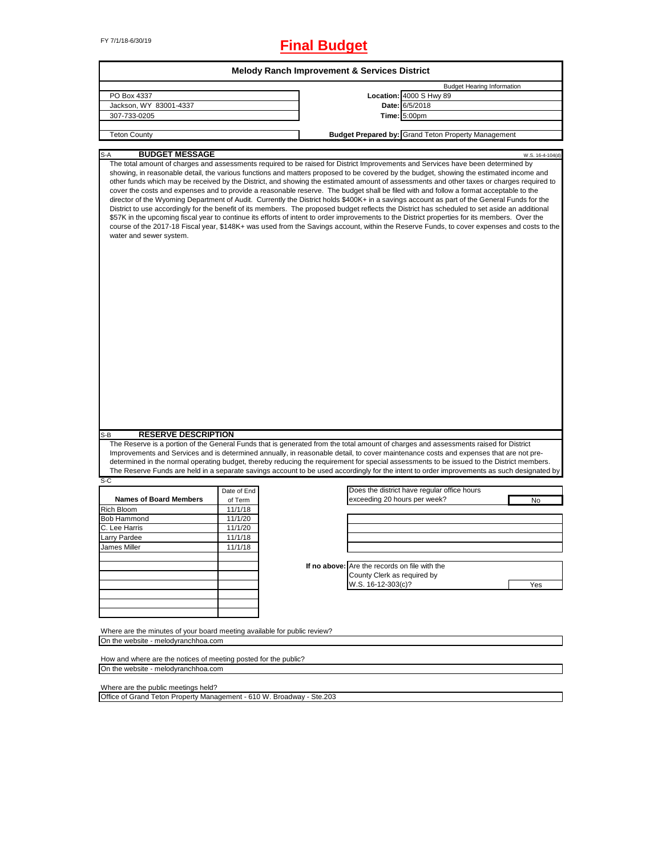# FY 7/1/18-6/30/19 **Final Budget**

| <b>Melody Ranch Improvement &amp; Services District</b>                                                                                                                                                                                                                                                                                                                                                                                                                                                                                                                                                                                                                                                                                                                                                                                                                                                                                                                                                                                                                                                                                                                                                                                     |                    |  |                                               |                                                     |     |  |
|---------------------------------------------------------------------------------------------------------------------------------------------------------------------------------------------------------------------------------------------------------------------------------------------------------------------------------------------------------------------------------------------------------------------------------------------------------------------------------------------------------------------------------------------------------------------------------------------------------------------------------------------------------------------------------------------------------------------------------------------------------------------------------------------------------------------------------------------------------------------------------------------------------------------------------------------------------------------------------------------------------------------------------------------------------------------------------------------------------------------------------------------------------------------------------------------------------------------------------------------|--------------------|--|-----------------------------------------------|-----------------------------------------------------|-----|--|
|                                                                                                                                                                                                                                                                                                                                                                                                                                                                                                                                                                                                                                                                                                                                                                                                                                                                                                                                                                                                                                                                                                                                                                                                                                             |                    |  |                                               | <b>Budget Hearing Information</b>                   |     |  |
| PO Box 4337                                                                                                                                                                                                                                                                                                                                                                                                                                                                                                                                                                                                                                                                                                                                                                                                                                                                                                                                                                                                                                                                                                                                                                                                                                 |                    |  |                                               | Location: 4000 S Hwy 89                             |     |  |
| Jackson, WY 83001-4337                                                                                                                                                                                                                                                                                                                                                                                                                                                                                                                                                                                                                                                                                                                                                                                                                                                                                                                                                                                                                                                                                                                                                                                                                      |                    |  |                                               | Date: 6/5/2018                                      |     |  |
| 307-733-0205                                                                                                                                                                                                                                                                                                                                                                                                                                                                                                                                                                                                                                                                                                                                                                                                                                                                                                                                                                                                                                                                                                                                                                                                                                |                    |  |                                               | <b>Time: 5:00pm</b>                                 |     |  |
|                                                                                                                                                                                                                                                                                                                                                                                                                                                                                                                                                                                                                                                                                                                                                                                                                                                                                                                                                                                                                                                                                                                                                                                                                                             |                    |  |                                               |                                                     |     |  |
| <b>Teton County</b>                                                                                                                                                                                                                                                                                                                                                                                                                                                                                                                                                                                                                                                                                                                                                                                                                                                                                                                                                                                                                                                                                                                                                                                                                         |                    |  |                                               | Budget Prepared by: Grand Teton Property Management |     |  |
|                                                                                                                                                                                                                                                                                                                                                                                                                                                                                                                                                                                                                                                                                                                                                                                                                                                                                                                                                                                                                                                                                                                                                                                                                                             |                    |  |                                               |                                                     |     |  |
| S-A                                                                                                                                                                                                                                                                                                                                                                                                                                                                                                                                                                                                                                                                                                                                                                                                                                                                                                                                                                                                                                                                                                                                                                                                                                         |                    |  |                                               |                                                     |     |  |
| <b>BUDGET MESSAGE</b><br>W.S. 16-4-104(d)<br>The total amount of charges and assessments required to be raised for District Improvements and Services have been determined by<br>showing, in reasonable detail, the various functions and matters proposed to be covered by the budget, showing the estimated income and<br>other funds which may be received by the District, and showing the estimated amount of assessments and other taxes or charges required to<br>cover the costs and expenses and to provide a reasonable reserve. The budget shall be filed with and follow a format acceptable to the<br>director of the Wyoming Department of Audit. Currently the District holds \$400K+ in a savings account as part of the General Funds for the<br>District to use accordingly for the benefit of its members. The proposed budget reflects the District has scheduled to set aside an additional<br>\$57K in the upcoming fiscal year to continue its efforts of intent to order improvements to the District properties for its members. Over the<br>course of the 2017-18 Fiscal year, \$148K+ was used from the Savings account, within the Reserve Funds, to cover expenses and costs to the<br>water and sewer system. |                    |  |                                               |                                                     |     |  |
|                                                                                                                                                                                                                                                                                                                                                                                                                                                                                                                                                                                                                                                                                                                                                                                                                                                                                                                                                                                                                                                                                                                                                                                                                                             |                    |  |                                               |                                                     |     |  |
| <b>RESERVE DESCRIPTION</b><br>S-B<br>The Reserve is a portion of the General Funds that is generated from the total amount of charges and assessments raised for District<br>Improvements and Services and is determined annually, in reasonable detail, to cover maintenance costs and expenses that are not pre-                                                                                                                                                                                                                                                                                                                                                                                                                                                                                                                                                                                                                                                                                                                                                                                                                                                                                                                          |                    |  |                                               |                                                     |     |  |
| determined in the normal operating budget, thereby reducing the requirement for special assessments to be issued to the District members.                                                                                                                                                                                                                                                                                                                                                                                                                                                                                                                                                                                                                                                                                                                                                                                                                                                                                                                                                                                                                                                                                                   |                    |  |                                               |                                                     |     |  |
| The Reserve Funds are held in a separate savings account to be used accordingly for the intent to order improvements as such designated by<br>S-C                                                                                                                                                                                                                                                                                                                                                                                                                                                                                                                                                                                                                                                                                                                                                                                                                                                                                                                                                                                                                                                                                           |                    |  |                                               |                                                     |     |  |
|                                                                                                                                                                                                                                                                                                                                                                                                                                                                                                                                                                                                                                                                                                                                                                                                                                                                                                                                                                                                                                                                                                                                                                                                                                             |                    |  |                                               | Does the district have regular office hours         |     |  |
| <b>Names of Board Members</b>                                                                                                                                                                                                                                                                                                                                                                                                                                                                                                                                                                                                                                                                                                                                                                                                                                                                                                                                                                                                                                                                                                                                                                                                               | Date of End        |  | exceeding 20 hours per week?                  |                                                     |     |  |
| Rich Bloom                                                                                                                                                                                                                                                                                                                                                                                                                                                                                                                                                                                                                                                                                                                                                                                                                                                                                                                                                                                                                                                                                                                                                                                                                                  | of Term<br>11/1/18 |  |                                               |                                                     | No  |  |
| <b>Bob Hammond</b>                                                                                                                                                                                                                                                                                                                                                                                                                                                                                                                                                                                                                                                                                                                                                                                                                                                                                                                                                                                                                                                                                                                                                                                                                          | 11/1/20            |  |                                               |                                                     |     |  |
| C. Lee Harris                                                                                                                                                                                                                                                                                                                                                                                                                                                                                                                                                                                                                                                                                                                                                                                                                                                                                                                                                                                                                                                                                                                                                                                                                               | 11/1/20            |  |                                               |                                                     |     |  |
| Larry Pardee                                                                                                                                                                                                                                                                                                                                                                                                                                                                                                                                                                                                                                                                                                                                                                                                                                                                                                                                                                                                                                                                                                                                                                                                                                | 11/1/18            |  |                                               |                                                     |     |  |
|                                                                                                                                                                                                                                                                                                                                                                                                                                                                                                                                                                                                                                                                                                                                                                                                                                                                                                                                                                                                                                                                                                                                                                                                                                             |                    |  |                                               |                                                     |     |  |
| James Millei                                                                                                                                                                                                                                                                                                                                                                                                                                                                                                                                                                                                                                                                                                                                                                                                                                                                                                                                                                                                                                                                                                                                                                                                                                | 11/1/18            |  |                                               |                                                     |     |  |
|                                                                                                                                                                                                                                                                                                                                                                                                                                                                                                                                                                                                                                                                                                                                                                                                                                                                                                                                                                                                                                                                                                                                                                                                                                             |                    |  |                                               |                                                     |     |  |
|                                                                                                                                                                                                                                                                                                                                                                                                                                                                                                                                                                                                                                                                                                                                                                                                                                                                                                                                                                                                                                                                                                                                                                                                                                             |                    |  | If no above: Are the records on file with the |                                                     |     |  |
|                                                                                                                                                                                                                                                                                                                                                                                                                                                                                                                                                                                                                                                                                                                                                                                                                                                                                                                                                                                                                                                                                                                                                                                                                                             |                    |  | County Clerk as required by                   |                                                     |     |  |
|                                                                                                                                                                                                                                                                                                                                                                                                                                                                                                                                                                                                                                                                                                                                                                                                                                                                                                                                                                                                                                                                                                                                                                                                                                             |                    |  | W.S. 16-12-303(c)?                            |                                                     | Yes |  |
|                                                                                                                                                                                                                                                                                                                                                                                                                                                                                                                                                                                                                                                                                                                                                                                                                                                                                                                                                                                                                                                                                                                                                                                                                                             |                    |  |                                               |                                                     |     |  |
|                                                                                                                                                                                                                                                                                                                                                                                                                                                                                                                                                                                                                                                                                                                                                                                                                                                                                                                                                                                                                                                                                                                                                                                                                                             |                    |  |                                               |                                                     |     |  |
|                                                                                                                                                                                                                                                                                                                                                                                                                                                                                                                                                                                                                                                                                                                                                                                                                                                                                                                                                                                                                                                                                                                                                                                                                                             |                    |  |                                               |                                                     |     |  |
|                                                                                                                                                                                                                                                                                                                                                                                                                                                                                                                                                                                                                                                                                                                                                                                                                                                                                                                                                                                                                                                                                                                                                                                                                                             |                    |  |                                               |                                                     |     |  |
| Where are the minutes of your board meeting available for public review?                                                                                                                                                                                                                                                                                                                                                                                                                                                                                                                                                                                                                                                                                                                                                                                                                                                                                                                                                                                                                                                                                                                                                                    |                    |  |                                               |                                                     |     |  |
| On the website - melodyranchhoa.com                                                                                                                                                                                                                                                                                                                                                                                                                                                                                                                                                                                                                                                                                                                                                                                                                                                                                                                                                                                                                                                                                                                                                                                                         |                    |  |                                               |                                                     |     |  |
|                                                                                                                                                                                                                                                                                                                                                                                                                                                                                                                                                                                                                                                                                                                                                                                                                                                                                                                                                                                                                                                                                                                                                                                                                                             |                    |  |                                               |                                                     |     |  |
| How and where are the notices of meeting posted for the public?                                                                                                                                                                                                                                                                                                                                                                                                                                                                                                                                                                                                                                                                                                                                                                                                                                                                                                                                                                                                                                                                                                                                                                             |                    |  |                                               |                                                     |     |  |
| On the website - melodyranchhoa.com                                                                                                                                                                                                                                                                                                                                                                                                                                                                                                                                                                                                                                                                                                                                                                                                                                                                                                                                                                                                                                                                                                                                                                                                         |                    |  |                                               |                                                     |     |  |

Where are the public meetings held?

Office of Grand Teton Property Management - 610 W. Broadway - Ste.203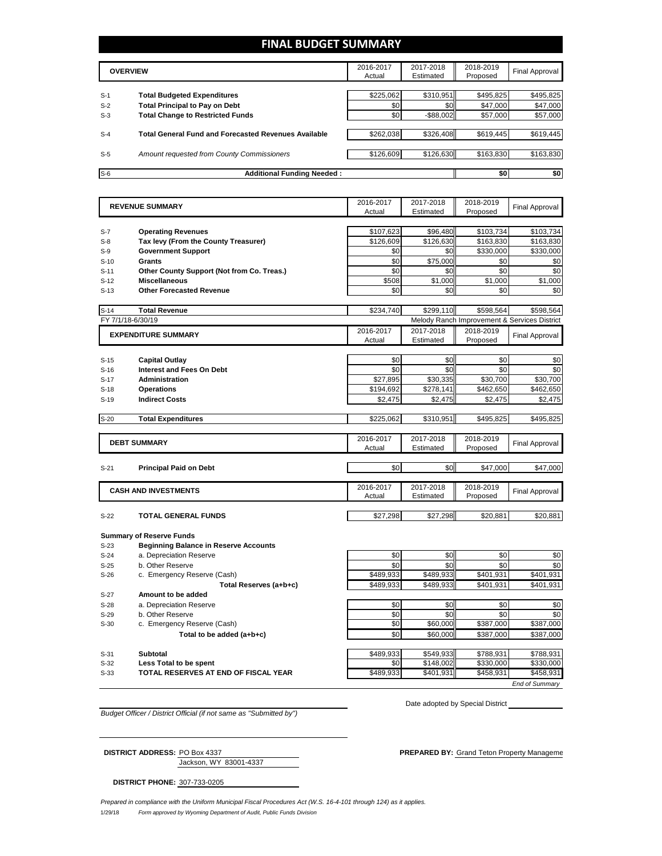## **FINAL BUDGET SUMMARY**

|       | <b>OVERVIEW</b>                                             | 2016-2017<br>Actual | 2017-2018<br>Estimated | 2018-2019<br>Proposed | <b>Final Approval</b> |
|-------|-------------------------------------------------------------|---------------------|------------------------|-----------------------|-----------------------|
| $S-1$ | <b>Total Budgeted Expenditures</b>                          | \$225,062           | \$310,951              | \$495,825             | \$495,825             |
| $S-2$ | <b>Total Principal to Pay on Debt</b>                       | \$0                 | \$0 <sub>1</sub>       | \$47,000              | \$47,000              |
| $S-3$ | <b>Total Change to Restricted Funds</b>                     | \$0                 | $-$ \$88,002           | \$57,000              | \$57,000              |
|       |                                                             |                     |                        |                       |                       |
| $S-4$ | <b>Total General Fund and Forecasted Revenues Available</b> | \$262,038           | \$326,408              | \$619,445             | \$619,445             |
|       |                                                             |                     |                        |                       |                       |
| $S-5$ | Amount requested from County Commissioners                  | \$126,609           | \$126,630              | \$163,830             | \$163,830             |
| $S-6$ | <b>Additional Funding Needed:</b>                           |                     |                        | \$0                   | \$0                   |

|        | <b>REVENUE SUMMARY</b>                       | 2016-2017 | 2017-2018 | 2018-2019                                    | Final Approval        |  |
|--------|----------------------------------------------|-----------|-----------|----------------------------------------------|-----------------------|--|
|        |                                              | Actual    | Estimated | Proposed                                     |                       |  |
|        |                                              |           |           |                                              |                       |  |
| $S-7$  | <b>Operating Revenues</b>                    | \$107,623 | \$96,480  | \$103,734                                    | \$103,734             |  |
| $S-8$  | Tax levy (From the County Treasurer)         | \$126,609 | \$126,630 | \$163,830                                    | \$163,830             |  |
| $S-9$  | <b>Government Support</b>                    | \$0       | \$0       | \$330,000                                    | \$330,000             |  |
| $S-10$ | Grants                                       | \$0       | \$75.000  | \$0                                          | \$0                   |  |
| $S-11$ | Other County Support (Not from Co. Treas.)   | \$0       | \$0       | \$0                                          | \$0                   |  |
| $S-12$ | <b>Miscellaneous</b>                         | \$508     | \$1.000   | \$1.000                                      | \$1,000               |  |
| $S-13$ | <b>Other Forecasted Revenue</b>              | \$0       | \$0       | \$0                                          | \$0                   |  |
|        |                                              |           |           |                                              |                       |  |
| $S-14$ | <b>Total Revenue</b>                         | \$234,740 | \$299,110 | \$598,564                                    | \$598,564             |  |
|        | FY 7/1/18-6/30/19                            |           |           | Melody Ranch Improvement & Services District |                       |  |
|        | <b>EXPENDITURE SUMMARY</b>                   | 2016-2017 | 2017-2018 | 2018-2019                                    | <b>Final Approval</b> |  |
|        |                                              | Actual    | Estimated | Proposed                                     |                       |  |
|        |                                              |           |           |                                              |                       |  |
| $S-15$ | <b>Capital Outlay</b>                        | \$0       | \$0       | \$0                                          | \$0                   |  |
| $S-16$ | <b>Interest and Fees On Debt</b>             | \$0       | \$0       | \$0                                          | \$0                   |  |
| $S-17$ | <b>Administration</b>                        | \$27,895  | \$30,335  | \$30,700                                     | \$30,700              |  |
| $S-18$ | <b>Operations</b>                            | \$194,692 | \$278,141 | \$462,650                                    | \$462,650             |  |
| $S-19$ | <b>Indirect Costs</b>                        | \$2,475   | \$2,475   | \$2,475                                      | \$2,475               |  |
|        |                                              |           |           |                                              |                       |  |
| $S-20$ | <b>Total Expenditures</b>                    | \$225.062 | \$310,951 | \$495,825                                    | \$495,825             |  |
|        |                                              |           |           |                                              |                       |  |
|        | <b>DEBT SUMMARY</b>                          | 2016-2017 | 2017-2018 | 2018-2019                                    | <b>Final Approval</b> |  |
|        |                                              | Actual    | Estimated | Proposed                                     |                       |  |
|        |                                              |           |           |                                              |                       |  |
| $S-21$ | <b>Principal Paid on Debt</b>                | \$0       | \$0       | \$47,000                                     | \$47,000              |  |
|        |                                              | 2016-2017 | 2017-2018 | 2018-2019                                    |                       |  |
|        | <b>CASH AND INVESTMENTS</b>                  | Actual    | Estimated | Proposed                                     | <b>Final Approval</b> |  |
|        |                                              |           |           |                                              |                       |  |
| $S-22$ | <b>TOTAL GENERAL FUNDS</b>                   | \$27,298  | \$27,298  | \$20,881                                     | \$20,881              |  |
|        |                                              |           |           |                                              |                       |  |
|        | <b>Summary of Reserve Funds</b>              |           |           |                                              |                       |  |
| $S-23$ | <b>Beginning Balance in Reserve Accounts</b> |           |           |                                              |                       |  |
| $S-24$ | a. Depreciation Reserve                      | \$0       | \$0       | \$0                                          | \$0                   |  |
| $S-25$ | b. Other Reserve                             | \$0       | \$0       | \$0                                          | \$0                   |  |
| $S-26$ | c. Emergency Reserve (Cash)                  | \$489,933 | \$489,933 | \$401,931                                    | \$401,931             |  |
|        | Total Reserves (a+b+c)                       | \$489.933 | \$489.933 | \$401.931                                    | \$401,931             |  |
| S-27   | Amount to be added                           |           |           |                                              |                       |  |
| $S-28$ | a. Depreciation Reserve                      | \$0       | \$0       | \$0                                          | \$0                   |  |
| $S-29$ | b. Other Reserve                             | \$0       | \$0       | \$0                                          | \$0                   |  |
| $S-30$ | c. Emergency Reserve (Cash)                  | \$0       | \$60,000  | \$387,000                                    | \$387,000             |  |
|        | Total to be added (a+b+c)                    | \$0       | \$60,000  | \$387,000                                    | \$387,000             |  |
|        |                                              |           |           |                                              |                       |  |

S-31 **Subtotal** \$549,933 \$788,931 \$788,931 \$788,931 **S-32 Less Total to be spent 12 and 131 and 148,002 \$330,000** \$330,000 \$330,000 \$330,000 \$330,000 \$330,000 \$330,000 \$330,000 \$330,000 \$330,000 \$330,000 \$330,000 \$330,000 \$330,000 \$330,000 \$330,000 \$330,000 \$330,000 \$ **S-33 TOTAL RESERVES AT END OF FISCAL YEAR THE SAB9,933** \$401,931 \$458,931 \$458,931 *End of Summary*

*Budget Officer / District Official (if not same as "Submitted by")*

Date adopted by Special District

Jackson, WY 83001-4337

**DISTRICT ADDRESS:** PO Box 4337 **PREPARED BY:** Grand Teton Property Management

**DISTRICT PHONE:** 307-733-0205

1/29/18 *Form approved by Wyoming Department of Audit, Public Funds Division Prepared in compliance with the Uniform Municipal Fiscal Procedures Act (W.S. 16-4-101 through 124) as it applies.*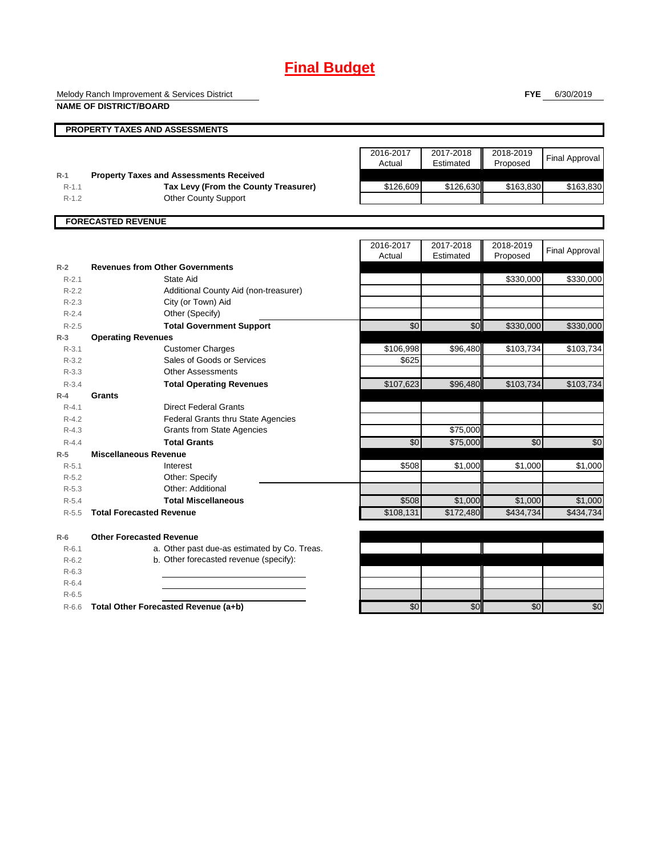## **Final Budget**

Melody Ranch Improvement & Services District **NAME OF DISTRICT/BOARD**

**FYE** 6/30/2019

|                  | NAME OF DISTRICTIBUAL                                                                  |                     |                        |                       |                       |
|------------------|----------------------------------------------------------------------------------------|---------------------|------------------------|-----------------------|-----------------------|
|                  | PROPERTY TAXES AND ASSESSMENTS                                                         |                     |                        |                       |                       |
|                  |                                                                                        | 2016-2017<br>Actual | 2017-2018<br>Estimated | 2018-2019<br>Proposed | <b>Final Approval</b> |
| $R-1$<br>$R-1.1$ | <b>Property Taxes and Assessments Received</b><br>Tax Levy (From the County Treasurer) | \$126,609           | \$126,630              | \$163,830             | \$163,830             |
| $R-1.2$          | <b>Other County Support</b>                                                            |                     |                        |                       |                       |
|                  |                                                                                        |                     |                        |                       |                       |
|                  | <b>FORECASTED REVENUE</b>                                                              |                     |                        |                       |                       |
|                  |                                                                                        |                     |                        |                       |                       |
|                  |                                                                                        | 2016-2017<br>Actual | 2017-2018<br>Estimated | 2018-2019             | <b>Final Approval</b> |
| $R-2$            | <b>Revenues from Other Governments</b>                                                 |                     |                        | Proposed              |                       |
| $R - 2.1$        | State Aid                                                                              |                     |                        | \$330,000             | \$330,000             |
| $R - 2.2$        | Additional County Aid (non-treasurer)                                                  |                     |                        |                       |                       |
| $R-2.3$          | City (or Town) Aid                                                                     |                     |                        |                       |                       |
| $R-2.4$          | Other (Specify)                                                                        |                     |                        |                       |                       |
| $R - 2.5$        | <b>Total Government Support</b>                                                        | \$0                 | \$0                    | \$330,000             | \$330,000             |
| $R-3$            | <b>Operating Revenues</b>                                                              |                     |                        |                       |                       |
| $R - 3.1$        | <b>Customer Charges</b>                                                                | \$106,998           | \$96,480               | \$103,734             | \$103,734             |
| $R - 3.2$        | Sales of Goods or Services                                                             | \$625               |                        |                       |                       |
| $R - 3.3$        | <b>Other Assessments</b>                                                               |                     |                        |                       |                       |
| $R - 3.4$        | <b>Total Operating Revenues</b>                                                        | \$107,623           | \$96,480               | \$103,734             | \$103,734             |
| $R-4$            | Grants                                                                                 |                     |                        |                       |                       |
| $R - 4.1$        | <b>Direct Federal Grants</b>                                                           |                     |                        |                       |                       |
| $R - 4.2$        | <b>Federal Grants thru State Agencies</b>                                              |                     |                        |                       |                       |
| $R - 4.3$        | <b>Grants from State Agencies</b>                                                      |                     | \$75,000               |                       |                       |
| $R - 4.4$        | <b>Total Grants</b>                                                                    | \$0                 | \$75,000               | \$0                   | \$0                   |
| $R-5$            | <b>Miscellaneous Revenue</b>                                                           |                     |                        |                       |                       |
| $R-5.1$          | Interest                                                                               | \$508               | \$1,000                | \$1,000               | \$1,000               |
| $R - 5.2$        | Other: Specify                                                                         |                     |                        |                       |                       |
| $R - 5.3$        | Other: Additional                                                                      |                     |                        |                       |                       |
| $R-5.4$          | <b>Total Miscellaneous</b>                                                             | \$508               | \$1,000                | \$1,000               | \$1,000               |
| $R-5.5$          | <b>Total Forecasted Revenue</b>                                                        | \$108,131           | \$172,480              | \$434,734             | \$434,734             |
| $R-6$            | <b>Other Forecasted Revenue</b>                                                        |                     |                        |                       |                       |
| $R - 6.1$        | a. Other past due-as estimated by Co. Treas.                                           |                     |                        |                       |                       |
| $R-6.2$          | b. Other forecasted revenue (specify):                                                 |                     |                        |                       |                       |
| $R-6.3$          |                                                                                        |                     |                        |                       |                       |
| $R-6.4$          |                                                                                        |                     |                        |                       |                       |
| $R - 6.5$        |                                                                                        |                     |                        |                       |                       |
| $R - 6.6$        | Total Other Forecasted Revenue (a+b)                                                   | \$0                 | \$0                    | \$0                   | \$0                   |
|                  |                                                                                        |                     |                        |                       |                       |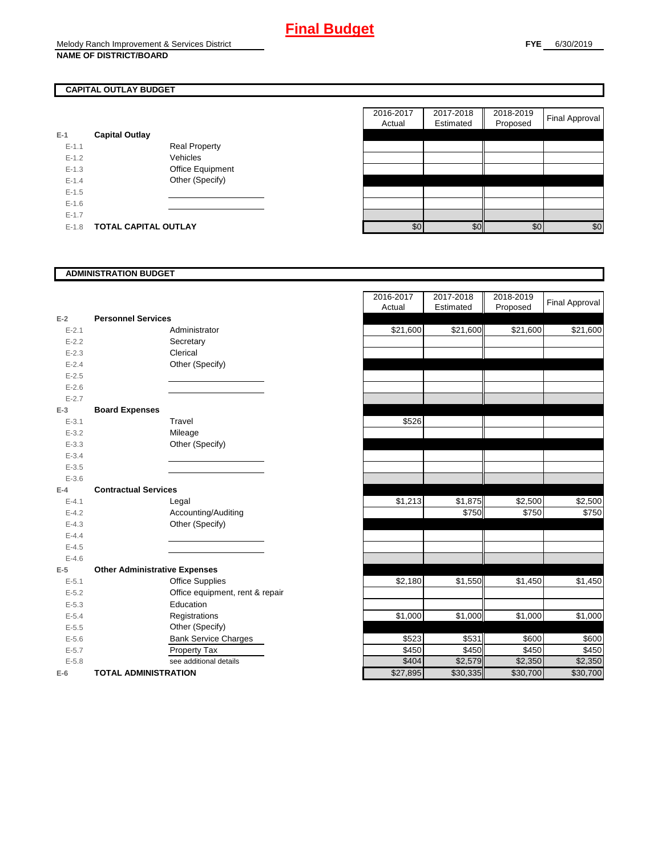## **CAPITAL OUTLAY BUDGET**

| E-1       | <b>Capital Outlay</b> |                         |
|-----------|-----------------------|-------------------------|
| $E - 1.1$ |                       | <b>Real Property</b>    |
| $F-12$    |                       | Vehicles                |
| $F-1.3$   |                       | <b>Office Equipment</b> |
| $F-14$    |                       | Other (Specify)         |
| $F-1.5$   |                       |                         |
| $F-16$    |                       |                         |
| $E - 1.7$ |                       |                         |
| $E - 1.8$ | TOTAL CAPITAL OUTLAY  |                         |

|           |                             |                      | 2016-2017<br>Actual | 2017-2018<br>Estimated | 2018-2019<br>Proposed | <b>Final Approval</b> |
|-----------|-----------------------------|----------------------|---------------------|------------------------|-----------------------|-----------------------|
|           | <b>Capital Outlay</b>       |                      |                     |                        |                       |                       |
| $E-1.1$   |                             | <b>Real Property</b> |                     |                        |                       |                       |
| $E-1.2$   |                             | Vehicles             |                     |                        |                       |                       |
| $E-1.3$   |                             | Office Equipment     |                     |                        |                       |                       |
| $E - 1.4$ |                             | Other (Specify)      |                     |                        |                       |                       |
| $E-1.5$   |                             |                      |                     |                        |                       |                       |
| $E-1.6$   |                             |                      |                     |                        |                       |                       |
| $E - 1.7$ |                             |                      |                     |                        |                       |                       |
| $E-1.8$   | <b>TOTAL CAPITAL OUTLAY</b> |                      | \$0                 | \$0                    | \$0                   | \$0                   |

### **ADMINISTRATION BUDGET**

|           |                                      |                                 | Actual   |
|-----------|--------------------------------------|---------------------------------|----------|
| $E-2$     | <b>Personnel Services</b>            |                                 |          |
| $E - 2.1$ |                                      | Administrator                   | \$21,600 |
| $E-2.2$   |                                      | Secretary                       |          |
| $E - 2.3$ |                                      | Clerical                        |          |
| $E - 2.4$ |                                      | Other (Specify)                 |          |
| $E - 2.5$ |                                      |                                 |          |
| $E - 2.6$ |                                      |                                 |          |
| $E - 2.7$ |                                      |                                 |          |
| $E-3$     | <b>Board Expenses</b>                |                                 |          |
| $E - 3.1$ |                                      | Travel                          | \$526    |
| $E - 3.2$ |                                      | Mileage                         |          |
| $E - 3.3$ |                                      | Other (Specify)                 |          |
| $E - 3.4$ |                                      |                                 |          |
| $E - 3.5$ |                                      |                                 |          |
| $E - 3.6$ |                                      |                                 |          |
| $E-4$     | <b>Contractual Services</b>          |                                 |          |
| $E - 4.1$ |                                      | Legal                           | \$1,213  |
| $E - 4.2$ |                                      | Accounting/Auditing             |          |
| $E - 4.3$ |                                      | Other (Specify)                 |          |
| $E - 4.4$ |                                      |                                 |          |
| $E-4.5$   |                                      |                                 |          |
| $E - 4.6$ |                                      |                                 |          |
| $E-5$     | <b>Other Administrative Expenses</b> |                                 |          |
| $E - 5.1$ |                                      | <b>Office Supplies</b>          | \$2,180  |
| $E - 5.2$ |                                      | Office equipment, rent & repair |          |
| $E - 5.3$ |                                      | Education                       |          |
| $E - 5.4$ |                                      | Registrations                   | \$1,000  |
| $E - 5.5$ |                                      | Other (Specify)                 |          |
| $E - 5.6$ |                                      | <b>Bank Service Charges</b>     | \$523    |
| $E - 5.7$ |                                      | Property Tax                    | \$450    |
| $E - 5.8$ |                                      | see additional details          | \$404    |
| $E-6$     | <b>TOTAL ADMINISTRATION</b>          |                                 | \$27,895 |

|           |                                      | 2016-2017 | 2017-2018 | 2018-2019 |                       |
|-----------|--------------------------------------|-----------|-----------|-----------|-----------------------|
|           |                                      | Actual    | Estimated | Proposed  | <b>Final Approval</b> |
| $E-2$     | <b>Personnel Services</b>            |           |           |           |                       |
| $E - 2.1$ | Administrator                        | \$21,600  | \$21,600  | \$21,600  | \$21,600              |
| $E - 2.2$ | Secretary                            |           |           |           |                       |
| $E - 2.3$ | Clerical                             |           |           |           |                       |
| $E - 2.4$ | Other (Specify)                      |           |           |           |                       |
| $E - 2.5$ |                                      |           |           |           |                       |
| $E - 2.6$ |                                      |           |           |           |                       |
| $E - 2.7$ |                                      |           |           |           |                       |
| $E-3$     | <b>Board Expenses</b>                |           |           |           |                       |
| $E - 3.1$ | Travel                               | \$526     |           |           |                       |
| $E - 3.2$ | Mileage                              |           |           |           |                       |
| $E - 3.3$ | Other (Specify)                      |           |           |           |                       |
| $E - 3.4$ |                                      |           |           |           |                       |
| $E - 3.5$ |                                      |           |           |           |                       |
| $E - 3.6$ |                                      |           |           |           |                       |
| $E-4$     | <b>Contractual Services</b>          |           |           |           |                       |
| $E - 4.1$ | Legal                                | \$1,213   | \$1,875   | \$2,500   | \$2,500               |
| $E - 4.2$ | Accounting/Auditing                  |           | \$750     | \$750     | \$750                 |
| $E - 4.3$ | Other (Specify)                      |           |           |           |                       |
| $E-4.4$   |                                      |           |           |           |                       |
| $E-4.5$   |                                      |           |           |           |                       |
| $E - 4.6$ |                                      |           |           |           |                       |
| $E-5$     | <b>Other Administrative Expenses</b> |           |           |           |                       |
| $E - 5.1$ | <b>Office Supplies</b>               | \$2,180   | \$1,550   | \$1,450   | \$1,450               |
| $E - 5.2$ | Office equipment, rent & repair      |           |           |           |                       |
| $E - 5.3$ | Education                            |           |           |           |                       |
| $E - 5.4$ | Registrations                        | \$1,000   | \$1,000   | \$1,000   | \$1,000               |
| $E - 5.5$ | Other (Specify)                      |           |           |           |                       |
| $E-5.6$   | <b>Bank Service Charges</b>          | \$523     | \$531     | \$600     | \$600                 |
| $E - 5.7$ | Property Tax                         | \$450     | \$450     | \$450     | \$450                 |
| $E - 5.8$ | see additional details               | \$404     | \$2,579   | \$2,350   | \$2,350               |
| $E-6$     | <b>TOTAL ADMINISTRATION</b>          | \$27,895  | \$30,335  | \$30,700  | \$30,700              |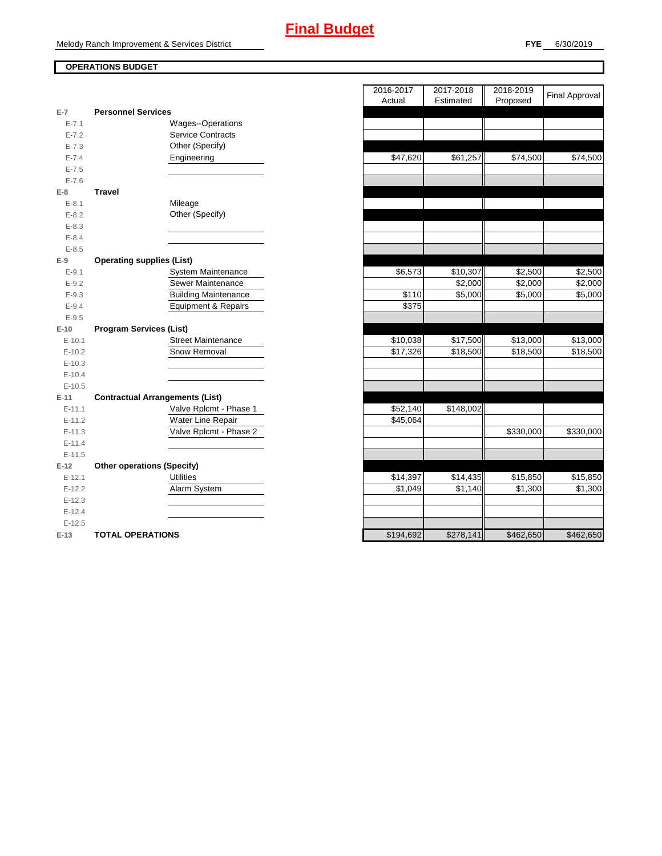## **OPERATIONS BUDGET**

| $E-7$     | <b>Personnel Services</b>              |           |           |
|-----------|----------------------------------------|-----------|-----------|
| $E - 7.1$ | Wages--Operations                      |           |           |
| $E - 7.2$ | <b>Service Contracts</b>               |           |           |
| $E - 7.3$ | Other (Specify)                        |           |           |
| $E - 7.4$ | Engineering                            | \$47,620  | \$61,257  |
| $E - 7.5$ |                                        |           |           |
| $E - 7.6$ |                                        |           |           |
| $E-8$     | <b>Travel</b>                          |           |           |
| $E - 8.1$ | Mileage                                |           |           |
| $E - 8.2$ | Other (Specify)                        |           |           |
| $E - 8.3$ |                                        |           |           |
| $E - 8.4$ |                                        |           |           |
| $E - 8.5$ |                                        |           |           |
| $E-9$     | <b>Operating supplies (List)</b>       |           |           |
| $E - 9.1$ | System Maintenance                     | \$6,573   | \$10,307  |
| $E - 9.2$ | Sewer Maintenance                      |           | \$2,000   |
| $E - 9.3$ | <b>Building Maintenance</b>            | \$110     | \$5,000   |
| $E - 9.4$ | Equipment & Repairs                    | \$375     |           |
| $E - 9.5$ |                                        |           |           |
| $E-10$    | <b>Program Services (List)</b>         |           |           |
| $E-10.1$  | <b>Street Maintenance</b>              | \$10,038  | \$17,500  |
| $E-10.2$  | Snow Removal                           | \$17,326  | \$18,500  |
| $E-10.3$  |                                        |           |           |
| $E-10.4$  |                                        |           |           |
| $E-10.5$  |                                        |           |           |
| $E-11$    | <b>Contractual Arrangements (List)</b> |           |           |
| $E-11.1$  | Valve Rplcmt - Phase 1                 | \$52,140  | \$148,002 |
| $E-11.2$  | Water Line Repair                      | \$45,064  |           |
| $E-11.3$  | Valve Rplcmt - Phase 2                 |           |           |
| $E-11.4$  |                                        |           |           |
| $E-11.5$  |                                        |           |           |
| $E-12$    | <b>Other operations (Specify)</b>      |           |           |
| $E-12.1$  | <b>Utilities</b>                       | \$14,397  | \$14,435  |
| $E-12.2$  | Alarm System                           | \$1,049   | \$1,140   |
| $E-12.3$  |                                        |           |           |
| $E-12.4$  |                                        |           |           |
| $E-12.5$  |                                        |           |           |
| $E-13$    | <b>TOTAL OPERATIONS</b>                | \$194,692 | \$278,141 |

|           |                                        | 2016-2017<br>Actual | 2017-2018<br>Estimated | 2018-2019<br>Proposed | <b>Final Approval</b> |
|-----------|----------------------------------------|---------------------|------------------------|-----------------------|-----------------------|
| $E-7$     | <b>Personnel Services</b>              |                     |                        |                       |                       |
| $E - 7.1$ | Wages--Operations                      |                     |                        |                       |                       |
| $E - 7.2$ | <b>Service Contracts</b>               |                     |                        |                       |                       |
| $E - 7.3$ | Other (Specify)                        |                     |                        |                       |                       |
| $E - 7.4$ | Engineering                            | \$47,620            | \$61,257               | \$74,500              | \$74,500              |
| $E - 7.5$ |                                        |                     |                        |                       |                       |
| $E - 7.6$ |                                        |                     |                        |                       |                       |
| E-8       | <b>Travel</b>                          |                     |                        |                       |                       |
| $E-8.1$   | Mileage                                |                     |                        |                       |                       |
| $E - 8.2$ | Other (Specify)                        |                     |                        |                       |                       |
| $E - 8.3$ |                                        |                     |                        |                       |                       |
| $E - 8.4$ |                                        |                     |                        |                       |                       |
| $E - 8.5$ |                                        |                     |                        |                       |                       |
| E-9       | <b>Operating supplies (List)</b>       |                     |                        |                       |                       |
| $E - 9.1$ | System Maintenance                     | \$6,573             | \$10,307               | \$2,500               | \$2,500               |
| $E - 9.2$ | Sewer Maintenance                      |                     | \$2,000                | \$2,000               | \$2,000               |
| $E - 9.3$ | <b>Building Maintenance</b>            | \$110               | \$5,000                | \$5,000               | \$5,000               |
| $E - 9.4$ | <b>Equipment &amp; Repairs</b>         | \$375               |                        |                       |                       |
| $E-9.5$   |                                        |                     |                        |                       |                       |
| E-10      | <b>Program Services (List)</b>         |                     |                        |                       |                       |
| $E-10.1$  | <b>Street Maintenance</b>              | \$10,038            | \$17,500               | \$13,000              | \$13,000              |
| $E-10.2$  | Snow Removal                           | \$17,326            | \$18,500               | \$18,500              | \$18,500              |
| $E-10.3$  |                                        |                     |                        |                       |                       |
| $E-10.4$  |                                        |                     |                        |                       |                       |
| $E-10.5$  |                                        |                     |                        |                       |                       |
| $E-11$    | <b>Contractual Arrangements (List)</b> |                     |                        |                       |                       |
| $E-11.1$  | Valve Rplcmt - Phase 1                 | \$52,140            | \$148,002              |                       |                       |
| $E-11.2$  | Water Line Repair                      | \$45,064            |                        |                       |                       |
| $E-11.3$  | Valve Rplcmt - Phase 2                 |                     |                        | \$330,000             | \$330,000             |
| $E-11.4$  |                                        |                     |                        |                       |                       |
| $E-11.5$  |                                        |                     |                        |                       |                       |
| $E-12$    | <b>Other operations (Specify)</b>      |                     |                        |                       |                       |
| $E-12.1$  | <b>Utilities</b>                       | \$14,397            | \$14,435               | \$15,850              | \$15,850              |
| $E-12.2$  | Alarm System                           | \$1,049             | \$1,140                | \$1,300               | \$1,300               |
| $E-12.3$  |                                        |                     |                        |                       |                       |
| $E-12.4$  |                                        |                     |                        |                       |                       |
| $E-12.5$  |                                        |                     |                        |                       |                       |
| $E-13$    | <b>TOTAL OPERATIONS</b>                | \$194,692           | \$278,141              | \$462,650             | \$462,650             |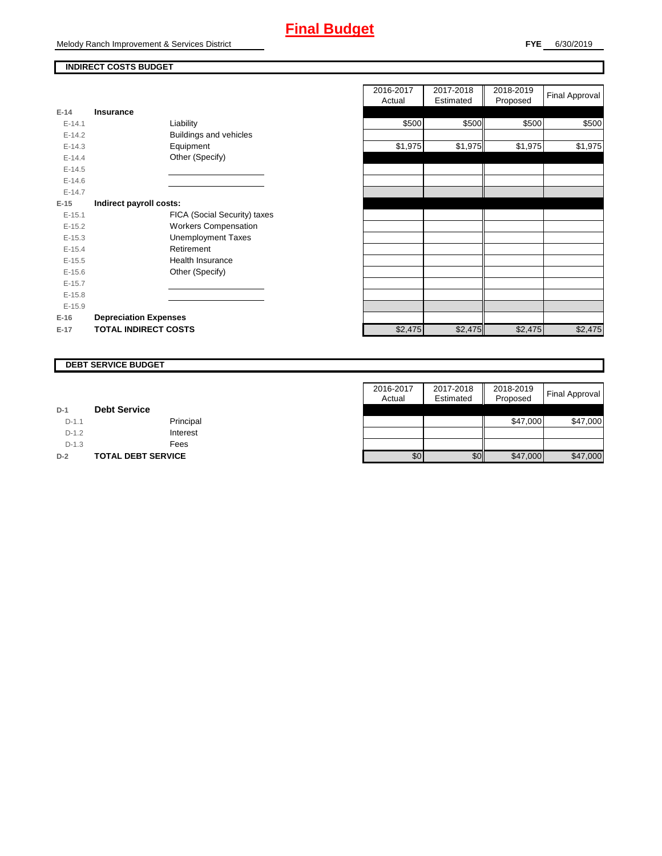## **Final Budget**

Melody Ranch Improvement & Services District

## **INDIRECT COSTS BUDGET**

| $E-14$     | Insurance                     |
|------------|-------------------------------|
| $F-141$    | Liability                     |
| $E-14.2$   | <b>Buildings and vehicles</b> |
| $F-14.3$   | Equipment                     |
| $F-144$    | Other (Specify)               |
| $E-14.5$   |                               |
| $E - 14.6$ |                               |
| $F-147$    |                               |
| E-15       | Indirect payroll costs:       |
| $E-15.1$   | FICA (Social Security) taxes  |
| $E-15.2$   | <b>Workers Compensation</b>   |
| $E-15.3$   | <b>Unemployment Taxes</b>     |
| $F-154$    | Retirement                    |
| $F-15.5$   | Health Insurance              |
| $E-15.6$   | Other (Specify)               |
| $E-15.7$   |                               |
| $E-15.8$   |                               |
| $E-15.9$   |                               |
| $E-16$     | <b>Depreciation Expenses</b>  |
| $E-17$     | <b>TOTAL INDIRECT COSTS</b>   |

|                               | 2016-2017<br>Actual | 2017-2018<br>Estimated | 2018-2019<br>Proposed | Final Approval              |
|-------------------------------|---------------------|------------------------|-----------------------|-----------------------------|
| Insurance                     |                     |                        |                       |                             |
| Liability                     | \$500               |                        | \$500                 | \$500                       |
| <b>Buildings and vehicles</b> |                     |                        |                       |                             |
| Equipment                     | \$1,975             |                        | \$1,975               | \$1,975                     |
| Other (Specify)               |                     |                        |                       |                             |
|                               |                     |                        |                       |                             |
|                               |                     |                        |                       |                             |
|                               |                     |                        |                       |                             |
| Indirect payroll costs:       |                     |                        |                       |                             |
| FICA (Social Security) taxes  |                     |                        |                       |                             |
| <b>Workers Compensation</b>   |                     |                        |                       |                             |
| <b>Unemployment Taxes</b>     |                     |                        |                       |                             |
| Retirement                    |                     |                        |                       |                             |
| <b>Health Insurance</b>       |                     |                        |                       |                             |
| Other (Specify)               |                     |                        |                       |                             |
|                               |                     |                        |                       |                             |
|                               |                     |                        |                       |                             |
|                               |                     |                        |                       |                             |
| <b>Depreciation Expenses</b>  |                     |                        |                       |                             |
| <b>TOTAL INDIRECT COSTS</b>   | \$2,475             |                        | \$2,475               | \$2,475                     |
|                               |                     |                        |                       | \$500<br>\$1,975<br>\$2,475 |

#### **DEBT SERVICE BUDGET**

|         |                           | 2016-2017 | 2017-2018 | 2018-2019 |                |
|---------|---------------------------|-----------|-----------|-----------|----------------|
|         |                           | Actual    | Estimated | Proposed  | Final Approval |
| $D-1$   | <b>Debt Service</b>       |           |           |           |                |
| $D-1.1$ | Principal                 |           |           | \$47,000  | \$47,000       |
| $D-1.2$ | Interest                  |           |           |           |                |
| $D-1.3$ | Fees                      |           |           |           |                |
| $D-2$   | <b>TOTAL DEBT SERVICE</b> | \$0       | \$0       | \$47,000  | \$47,000       |